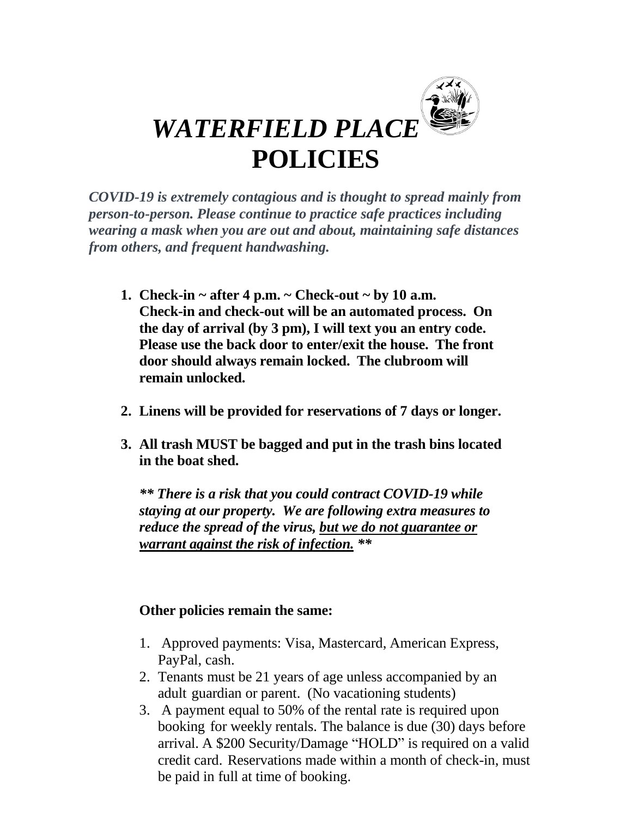

*COVID-19 is extremely contagious and is thought to spread mainly from person-to-person. Please continue to practice safe practices including wearing a mask when you are out and about, maintaining safe distances from others, and frequent handwashing.*

- **1. Check-in ~ after 4 p.m. ~ Check-out ~ by 10 a.m. Check-in and check-out will be an automated process. On the day of arrival (by 3 pm), I will text you an entry code. Please use the back door to enter/exit the house. The front door should always remain locked. The clubroom will remain unlocked.**
- **2. Linens will be provided for reservations of 7 days or longer.**
- **3. All trash MUST be bagged and put in the trash bins located in the boat shed.**

*\*\* There is a risk that you could contract COVID-19 while staying at our property. We are following extra measures to reduce the spread of the virus, but we do not guarantee or warrant against the risk of infection. \*\**

## **Other policies remain the same:**

- 1. Approved payments: Visa, Mastercard, American Express, PayPal, cash.
- 2. Tenants must be 21 years of age unless accompanied by an adult guardian or parent. (No vacationing students)
- 3. A payment equal to 50% of the rental rate is required upon booking for weekly rentals. The balance is due (30) days before arrival. A \$200 Security/Damage "HOLD" is required on a valid credit card. Reservations made within a month of check-in, must be paid in full at time of booking.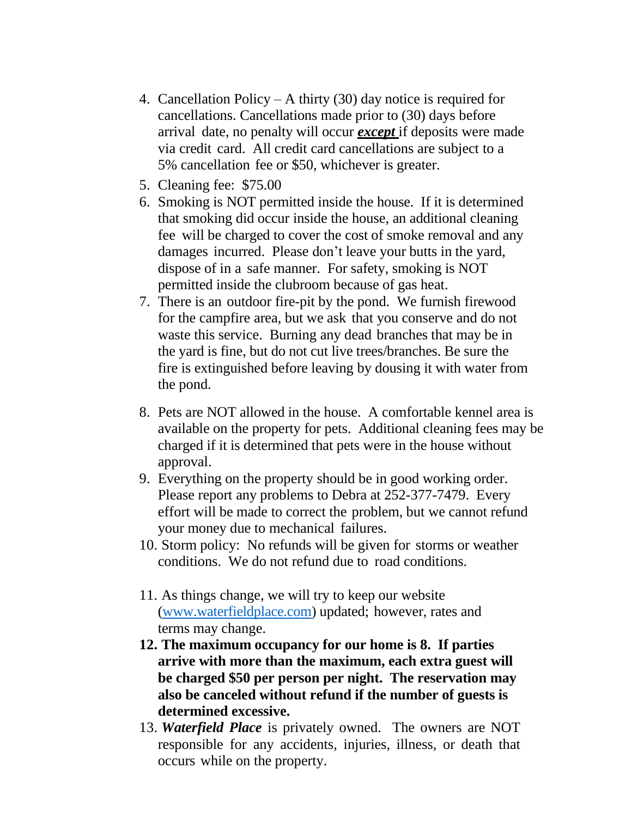- 4. Cancellation Policy A thirty (30) day notice is required for cancellations. Cancellations made prior to (30) days before arrival date, no penalty will occur *except* if deposits were made via credit card. All credit card cancellations are subject to a 5% cancellation fee or \$50, whichever is greater.
- 5. Cleaning fee: \$75.00
- 6. Smoking is NOT permitted inside the house. If it is determined that smoking did occur inside the house, an additional cleaning fee will be charged to cover the cost of smoke removal and any damages incurred. Please don't leave your butts in the yard, dispose of in a safe manner. For safety, smoking is NOT permitted inside the clubroom because of gas heat.
- 7. There is an outdoor fire-pit by the pond. We furnish firewood for the campfire area, but we ask that you conserve and do not waste this service. Burning any dead branches that may be in the yard is fine, but do not cut live trees/branches. Be sure the fire is extinguished before leaving by dousing it with water from the pond.
- 8. Pets are NOT allowed in the house. A comfortable kennel area is available on the property for pets. Additional cleaning fees may be charged if it is determined that pets were in the house without approval.
- 9. Everything on the property should be in good working order. Please report any problems to Debra at 252-377-7479. Every effort will be made to correct the problem, but we cannot refund your money due to mechanical failures.
- 10. Storm policy: No refunds will be given for storms or weather conditions. We do not refund due to road conditions.
- 11. As things change, we will try to keep our website [\(www.waterfieldplace.com\)](http://www.waterfieldplace.com/) updated; however, rates and terms may change.
- **12. The maximum occupancy for our home is 8. If parties arrive with more than the maximum, each extra guest will be charged \$50 per person per night. The reservation may also be canceled without refund if the number of guests is determined excessive.**
- 13. *Waterfield Place* is privately owned. The owners are NOT responsible for any accidents, injuries, illness, or death that occurs while on the property.